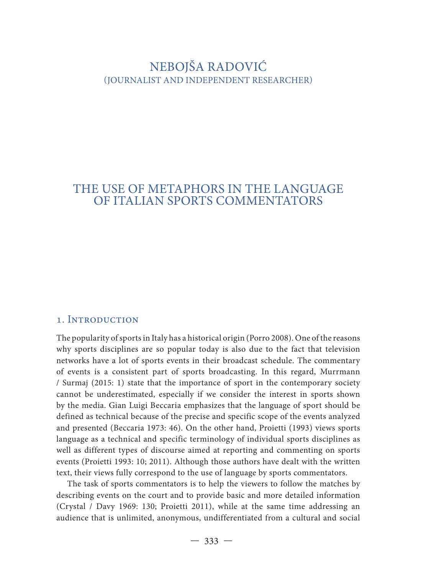# NEBOJŠA RADOVIĆ (JOURNALIST AND INDEPENDENT RESEARCHER)

# THE USE OF METAPHORS IN THE LANGUAGE OF ITALIAN SPORTS COMMENTATORS

### 1. Introduction

The popularity of sports in Italy has a historical origin (Porro 2008). One of the reasons why sports disciplines are so popular today is also due to the fact that television networks have a lot of sports events in their broadcast schedule. The commentary of events is a consistent part of sports broadcasting. In this regard, Murrmann / Surmaj (2015: 1) state that the importance of sport in the contemporary society cannot be underestimated, especially if we consider the interest in sports shown by the media. Gian Luigi Beccaria emphasizes that the language of sport should be defined as technical because of the precise and specific scope of the events analyzed and presented (Beccaria 1973: 46). On the other hand, Proietti (1993) views sports language as a technical and specific terminology of individual sports disciplines as well as different types of discourse aimed at reporting and commenting on sports events (Proietti 1993: 10; 2011). Although those authors have dealt with the written text, their views fully correspond to the use of language by sports commentators.

The task of sports commentators is to help the viewers to follow the matches by describing events on the court and to provide basic and more detailed information (Crystal / Davy 1969: 130; Proietti 2011), while at the same time addressing an audience that is unlimited, anonymous, undifferentiated from a cultural and social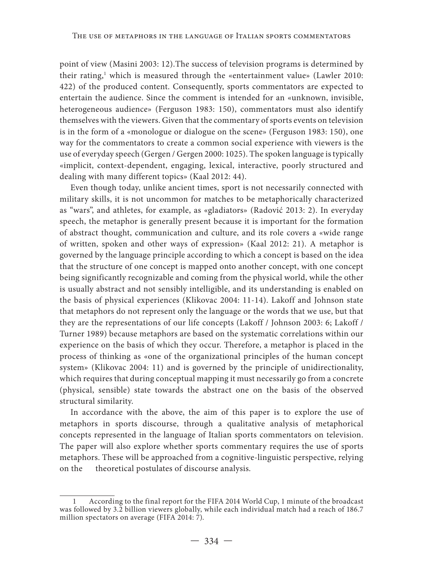point of view (Masini 2003: 12).The success of television programs is determined by their rating,<sup>1</sup> which is measured through the «entertainment value» (Lawler 2010: 422) of the produced content. Consequently, sports commentators are expected to entertain the audience. Since the comment is intended for an «unknown, invisible, heterogeneous audience» (Ferguson 1983: 150), commentators must also identify themselves with the viewers. Given that the commentary of sports events on television is in the form of a «monologue or dialogue on the scene» (Ferguson 1983: 150), one way for the commentators to create a common social experience with viewers is the use of everyday speech (Gergen / Gergen 2000: 1025). The spoken language is typically «implicit, context-dependent, engaging, lexical, interactive, poorly structured and dealing with many different topics» (Kaal 2012: 44).

Even though today, unlike ancient times, sport is not necessarily connected with military skills, it is not uncommon for matches to be metaphorically characterized as "wars", and athletes, for example, as «gladiators» (Radović 2013: 2). In everyday speech, the metaphor is generally present because it is important for the formation of abstract thought, communication and culture, and its role covers a «wide range of written, spoken and other ways of expression» (Kaal 2012: 21). A metaphor is governed by the language principle according to which a concept is based on the idea that the structure of one concept is mapped onto another concept, with one concept being significantly recognizable and coming from the physical world, while the other is usually abstract and not sensibly intelligible, and its understanding is enabled on the basis of physical experiences (Klikovac 2004: 11-14). Lakoff and Johnson state that metaphors do not represent only the language or the words that we use, but that they are the representations of our life concepts (Lakoff / Johnson 2003: 6; Lakoff / Turner 1989) because metaphors are based on the systematic correlations within our experience on the basis of which they occur. Therefore, a metaphor is placed in the process of thinking as «one of the organizational principles of the human concept system» (Klikovac 2004: 11) and is governed by the principle of unidirectionality, which requires that during conceptual mapping it must necessarily go from a concrete (physical, sensible) state towards the abstract one on the basis of the observed structural similarity.

In accordance with the above, the aim of this paper is to explore the use of metaphors in sports discourse, through a qualitative analysis of metaphorical concepts represented in the language of Italian sports commentators on television. The paper will also explore whether sports commentary requires the use of sports metaphors. These will be approached from a cognitive-linguistic perspective, relying on the theoretical postulates of discourse analysis.

<sup>1</sup> According to the final report for the FIFA 2014 World Cup, 1 minute of the broadcast was followed by 3.2 billion viewers globally, while each individual match had a reach of 186.7 million spectators on average (FIFA 2014: 7).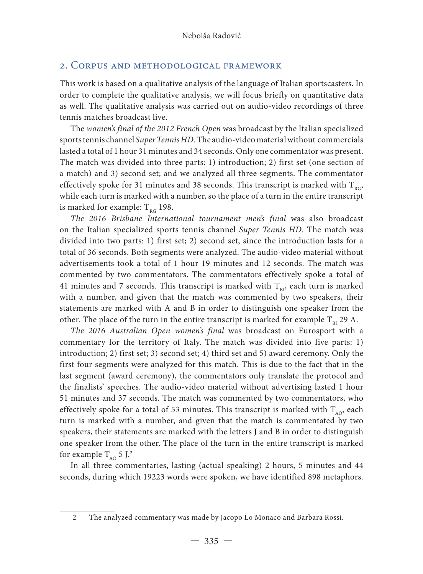### 2. Corpus and methodological framework

This work is based on a qualitative analysis of the language of Italian sportscasters. In order to complete the qualitative analysis, we will focus briefly on quantitative data as well. The qualitative analysis was carried out on audio-video recordings of three tennis matches broadcast live.

The *women's final of the 2012 French Open* was broadcast by the Italian specialized sports tennis channel *Super Tennis HD*. The audio-video material without commercials lasted a total of 1 hour 31 minutes and 34 seconds. Only one commentator was present. The match was divided into three parts: 1) introduction; 2) first set (one section of a match) and 3) second set; and we analyzed all three segments. The commentator effectively spoke for 31 minutes and 38 seconds. This transcript is marked with  $T_{RQ}$ , while each turn is marked with a number, so the place of a turn in the entire transcript is marked for example:  $T_{RG}$  198.

*The 2016 Brisbane International tournament men's final* was also broadcast on the Italian specialized sports tennis channel *Super Tennis HD*. The match was divided into two parts: 1) first set; 2) second set, since the introduction lasts for a total of 36 seconds. Both segments were analyzed. The audio-video material without advertisements took a total of 1 hour 19 minutes and 12 seconds. The match was commented by two commentators. The commentators effectively spoke a total of 41 minutes and 7 seconds. This transcript is marked with  $T_{\text{B1}}$ , each turn is marked with a number, and given that the match was commented by two speakers, their statements are marked with A and B in order to distinguish one speaker from the other. The place of the turn in the entire transcript is marked for example  $T_{BI}$  29 A.

*The 2016 Australian Open women's final* was broadcast on Eurosport with a commentary for the territory of Italy. The match was divided into five parts: 1) introduction; 2) first set; 3) second set; 4) third set and 5) award ceremony. Only the first four segments were analyzed for this match. This is due to the fact that in the last segment (award ceremony), the commentators only translate the protocol and the finalists' speeches. The audio-video material without advertising lasted 1 hour 51 minutes and 37 seconds. The match was commented by two commentators, who effectively spoke for a total of 53 minutes. This transcript is marked with  $T_{AO}$ , each turn is marked with a number, and given that the match is commentated by two speakers, their statements are marked with the letters J and B in order to distinguish one speaker from the other. The place of the turn in the entire transcript is marked for example  $T_{AO}$  5 J.<sup>2</sup>

In all three commentaries, lasting (actual speaking) 2 hours, 5 minutes and 44 seconds, during which 19223 words were spoken, we have identified 898 metaphors.

<sup>2</sup> The analyzed commentary was made by Jacopo Lo Monaco and Barbara Rossi.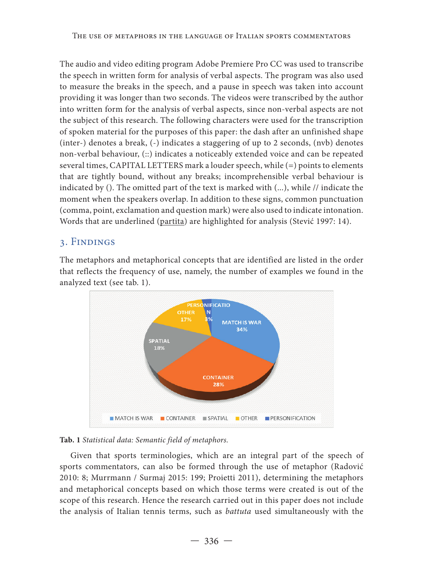The audio and video editing program Adobe Premiere Pro CC was used to transcribe the speech in written form for analysis of verbal aspects. The program was also used to measure the breaks in the speech, and a pause in speech was taken into account providing it was longer than two seconds. The videos were transcribed by the author into written form for the analysis of verbal aspects, since non-verbal aspects are not the subject of this research. The following characters were used for the transcription of spoken material for the purposes of this paper: the dash after an unfinished shape (inter-) denotes a break, (-) indicates a staggering of up to 2 seconds, (nvb) denotes non-verbal behaviour, (::) indicates a noticeably extended voice and can be repeated several times, CAPITAL LETTERS mark a louder speech, while (=) points to elements that are tightly bound, without any breaks; incomprehensible verbal behaviour is indicated by (). The omitted part of the text is marked with (...), while // indicate the moment when the speakers overlap. In addition to these signs, common punctuation (comma, point, exclamation and question mark) were also used to indicate intonation. Words that are underlined (partita) are highlighted for analysis (Stević 1997: 14).

# 3. Findings

The metaphors and metaphorical concepts that are identified are listed in the order that reflects the frequency of use, namely, the number of examples we found in the analyzed text (see tab. 1).





Given that sports terminologies, which are an integral part of the speech of sports commentators, can also be formed through the use of metaphor (Radović 2010: 8; Murrmann / Surmaj 2015: 199; Proietti 2011), determining the metaphors and metaphorical concepts based on which those terms were created is out of the scope of this research. Hence the research carried out in this paper does not include the analysis of Italian tennis terms, such as *battuta* used simultaneously with the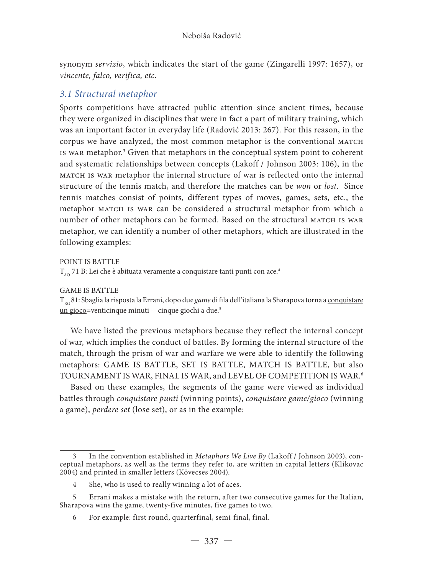synonym *servizio*, which indicates the start of the game (Zingarelli 1997: 1657), or *vincente, falco, verifica, etc*.

## *3.1 Structural metaphor*

Sports competitions have attracted public attention since ancient times, because they were organized in disciplines that were in fact a part of military training, which was an important factor in everyday life (Radović 2013: 267). For this reason, in the corpus we have analyzed, the most common metaphor is the conventional match is war metaphor. 3 Given that metaphors in the conceptual system point to coherent and systematic relationships between concepts (Lakoff / Johnson 2003: 106), in the match is war metaphor the internal structure of war is reflected onto the internal structure of the tennis match, and therefore the matches can be *won* or *lost*. Since tennis matches consist of points, different types of moves, games, sets, etc., the metaphor MATCH IS WAR can be considered a structural metaphor from which a number of other metaphors can be formed. Based on the structural MATCH IS WAR metaphor, we can identify a number of other metaphors, which are illustrated in the following examples:

POINT IS BATTLE

 $T_{\alpha}$  71 B: Lei che è abituata veramente a conquistare tanti punti con ace.<sup>4</sup>

GAME IS BATTLE

T<sub>RG</sub> 81: Sbaglia la risposta la Errani, dopo due *game* di fila dell'italiana la Sharapova torna a conquistare un gioco=venticinque minuti -- cinque giochi a due.<sup>5</sup>

We have listed the previous metaphors because they reflect the internal concept of war, which implies the conduct of battles. By forming the internal structure of the match, through the prism of war and warfare we were able to identify the following metaphors: GAME IS BATTLE, SET IS BATTLE, MATCH IS BATTLE, but also TOURNAMENT IS WAR, FINAL IS WAR, and LEVEL OF COMPETITION IS WAR.<sup>6</sup>

Based on these examples, the segments of the game were viewed as individual battles through *conquistare punti* (winning points), *conquistare game/gioco* (winning a game), *perdere set* (lose set), or as in the example:

<sup>3</sup> In the convention established in *Metaphors We Live By* (Lakoff / Johnson 2003), conceptual metaphors, as well as the terms they refer to, are written in capital letters (Klikovac 2004) and printed in smaller letters (Kövecses 2004).

<sup>4</sup> She, who is used to really winning a lot of aces.

<sup>5</sup> Errani makes a mistake with the return, after two consecutive games for the Italian, Sharapova wins the game, twenty-five minutes, five games to two.

<sup>6</sup> For example: first round, quarterfinal, semi-final, final.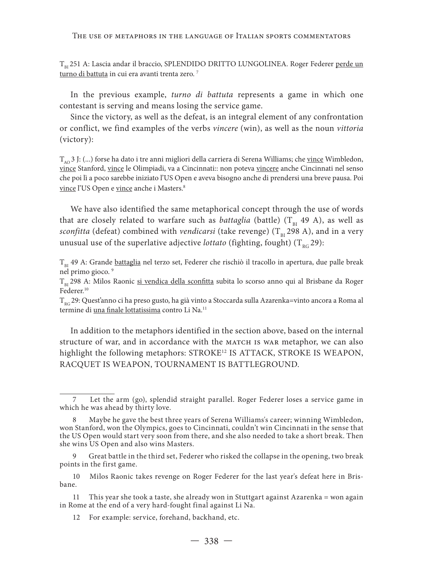#### The use of metaphors in the language of Italian sports commentators

T<sub>BI</sub> 251 A: Lascia andar il braccio, SPLENDIDO DRITTO LUNGOLINEA. Roger Federer perde un turno di battuta in cui era avanti trenta zero.<sup>7</sup>

In the previous example, *turno di battuta* represents a game in which one contestant is serving and means losing the service game.

Since the victory, as well as the defeat, is an integral element of any confrontation or conflict, we find examples of the verbs *vincere* (win), as well as the noun *vittoria* (victory):

 $T_{A<sub>0</sub>}$  3 J: (...) forse ha dato i tre anni migliori della carriera di Serena Williams; che vince Wimbledon, vince Stanford, vince le Olimpiadi, va a Cincinnati:: non poteva vincere anche Cincinnati nel senso che poi lì a poco sarebbe iniziato l'US Open e aveva bisogno anche di prendersi una breve pausa. Poi vince l'US Open e vince anche i Masters.<sup>8</sup>

We have also identified the same metaphorical concept through the use of words that are closely related to warfare such as *battaglia* (battle)  $(T_{\text{B1}}$  49 A), as well as *sconfitta* (defeat) combined with *vendicarsi* (take revenge) (T<sub>BI</sub> 298 A), and in a very unusual use of the superlative adjective *lottato* (fighting, fought)  $(T_{nc} 29)$ :

T<sub>BI</sub> 49 A: Grande battaglia nel terzo set, Federer che rischiò il tracollo in apertura, due palle break nel primo gioco.<sup>9</sup>

T<sub>ni</sub> 298 A: Milos Raonic si vendica della sconfitta subita lo scorso anno qui al Brisbane da Roger Federer.<sup>10</sup>

 $T_{nc}$ 29: Quest'anno ci ha preso gusto, ha già vinto a Stoccarda sulla Azarenka=vinto ancora a Roma al termine di una finale lottatissima contro Li Na.<sup>11</sup>

In addition to the metaphors identified in the section above, based on the internal structure of war, and in accordance with the MATCH IS WAR metaphor, we can also highlight the following metaphors: STROKE<sup>12</sup> IS ATTACK, STROKE IS WEAPON, RACQUET IS WEAPON, TOURNAMENT IS BATTLEGROUND.

Let the arm (go), splendid straight parallel. Roger Federer loses a service game in which he was ahead by thirty love.

<sup>8</sup> Maybe he gave the best three years of Serena Williams's career; winning Wimbledon, won Stanford, won the Olympics, goes to Cincinnati, couldn't win Cincinnati in the sense that the US Open would start very soon from there, and she also needed to take a short break. Then she wins US Open and also wins Masters.

<sup>9</sup> Great battle in the third set, Federer who risked the collapse in the opening, two break points in the first game.

<sup>10</sup> Milos Raonic takes revenge on Roger Federer for the last year's defeat here in Brisbane.

<sup>11</sup> This year she took a taste, she already won in Stuttgart against Azarenka = won again in Rome at the end of a very hard-fought final against Li Na.

<sup>12</sup> For example: service, forehand, backhand, etc.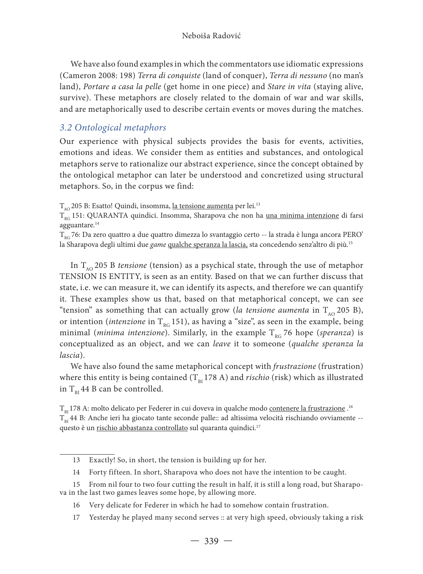We have also found examples in which the commentators use idiomatic expressions (Cameron 2008: 198) *Terra di conquiste* (land of conquer), *Terra di nessuno* (no man's land), *Portare a casa la pelle* (get home in one piece) and *Stare in vita* (staying alive, survive). These metaphors are closely related to the domain of war and war skills, and are metaphorically used to describe certain events or moves during the matches.

## *3.2 Ontological metaphors*

Our experience with physical subjects provides the basis for events, activities, emotions and ideas. We consider them as entities and substances, and ontological metaphors serve to rationalize our abstract experience, since the concept obtained by the ontological metaphor can later be understood and concretized using structural metaphors. So, in the corpus we find:

 $\rm T_{_{AO}}$  205 B: Esatto! Quindi, insomma, <u>la tensione aumenta</u> per lei.<sup>13</sup>

 $T_{RG}$  151: QUARANTA quindici. Insomma, Sharapova che non ha una minima intenzione di farsi agguantare.<sup>14</sup>

 $T_{\text{nc}}$ 76: Da zero quattro a due quattro dimezza lo svantaggio certo -- la strada è lunga ancora PERO' la Sharapova degli ultimi due *game* qualche speranza la lascia, sta concedendo senz'altro di più.15

In  $T_{AO}$  205 B *tensione* (tension) as a psychical state, through the use of metaphor TENSION IS ENTITY, is seen as an entity. Based on that we can further discuss that state, i.e. we can measure it, we can identify its aspects, and therefore we can quantify it. These examples show us that, based on that metaphorical concept, we can see "tension" as something that can actually grow (*la tensione aumenta* in  $T_{A_0}$  205 B), or intention (*intenzione* in T<sub>RG</sub> 151), as having a "size", as seen in the example, being minimal (*minima intenzione*). Similarly, in the example  $T_{RC}$  76 hope (*speranza*) is conceptualized as an object, and we can *leave* it to someone (*qualche speranza la lascia*).

We have also found the same metaphorical concept with *frustrazione* (frustration) where this entity is being contained  $(T_{BI} 178 A)$  and *rischio* (risk) which as illustrated in  $T_{\text{p1}}$  44 B can be controlled.

 ${\rm T_{\rm BI}}$ 178 A: molto delicato per Federer in cui doveva in qualche modo <u>contenere la frustrazione</u> .<sup>16</sup>  $T_{B1}$  44 B: Anche ieri ha giocato tante seconde palle:: ad altissima velocità rischiando ovviamente -questo è un rischio abbastanza controllato sul quaranta quindici.<sup>17</sup>

14 Forty fifteen. In short, Sharapova who does not have the intention to be caught.

- 15 From nil four to two four cutting the result in half, it is still a long road, but Sharapova in the last two games leaves some hope, by allowing more.
	- 16 Very delicate for Federer in which he had to somehow contain frustration.
	- 17 Yesterday he played many second serves :: at very high speed, obviously taking a risk

<sup>13</sup> Exactly! So, in short, the tension is building up for her.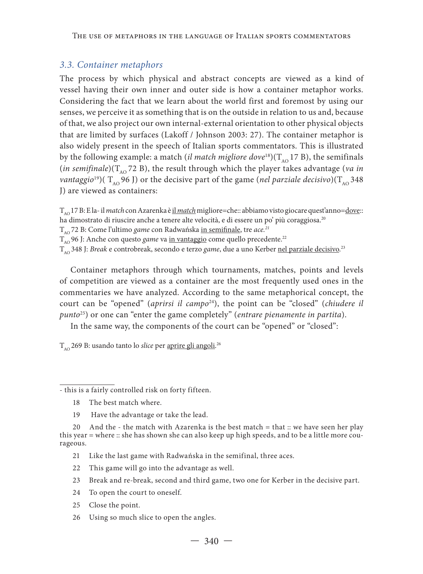### *3.3. Container metaphors*

The process by which physical and abstract concepts are viewed as a kind of vessel having their own inner and outer side is how a container metaphor works. Considering the fact that we learn about the world first and foremost by using our senses, we perceive it as something that is on the outside in relation to us and, because of that, we also project our own internal-external orientation to other physical objects that are limited by surfaces (Lakoff / Johnson 2003: 27). The container metaphor is also widely present in the speech of Italian sports commentators. This is illustrated by the following example: a match (*il match migliore dove*<sup>18</sup>)( $T_{A0}$  17 B), the semifinals (*in semifinale*)( $T_{\text{A}^{\text{O}}}$ 72 B), the result through which the player takes advantage (*va in vantaggio*<sup>19</sup>)(  $T_{A\Omega}$  96 J) or the decisive part of the game (*nel parziale decisivo*)( $T_{A\Omega}$  348 J) are viewed as containers:

TAO 17 B: E la- il *match* con Azarenka è il *match* migliore=che:: abbiamo visto giocare quest'anno=dove:: ha dimostrato di riuscire anche a tenere alte velocità, e di essere un po' più coraggiosa.<sup>20</sup> T<sub>AO</sub> 72 B: Come l'ultimo *game* con Radwańska in semifinale, tre *ace*.<sup>21</sup> T<sub>AO</sub> 96 J: Anche con questo *game* va in vantaggio come quello precedente.<sup>22</sup>

T<sub>AO</sub> 348 J: *Break* e controbreak, secondo e terzo *game*, due a uno Kerber <u>nel parziale decisivo</u>.<sup>23</sup>

Container metaphors through which tournaments, matches, points and levels of competition are viewed as a container are the most frequently used ones in the commentaries we have analyzed. According to the same metaphorical concept, the court can be "opened" (*aprirsi il campo*24), the point can be "closed" (*chiudere il punto*25) or one can "enter the game completely" (*entrare pienamente in partita*).

In the same way, the components of the court can be "opened" or "closed":

T<sub>AO</sub> 269 B: usando tanto lo *slice* per <u>aprire gli angoli</u>.<sup>26</sup>

- this is a fairly controlled risk on forty fifteen.

- 18 The best match where.
- 19 Have the advantage or take the lead.

- 21 Like the last game with Radwańska in the semifinal, three aces.
- 22 This game will go into the advantage as well.
- 23 Break and re-break, second and third game, two one for Kerber in the decisive part.
- 24 To open the court to oneself.
- 25 Close the point.
- 26 Using so much slice to open the angles.

<sup>20</sup> And the - the match with Azarenka is the best match = that :: we have seen her play this year = where :: she has shown she can also keep up high speeds, and to be a little more courageous.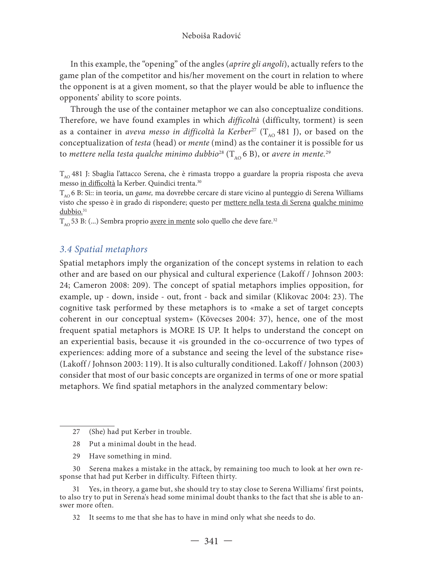In this example, the "opening" of the angles (*aprire gli angoli*), actually refers to the game plan of the competitor and his/her movement on the court in relation to where the opponent is at a given moment, so that the player would be able to influence the opponents' ability to score points.

Through the use of the container metaphor we can also conceptualize conditions. Therefore, we have found examples in which *difficoltà* (difficulty, torment) is seen as a container in *aveva messo in difficoltà la Kerber*<sup>27</sup> ( $T_{A0}$  481 J), or based on the conceptualization of *testa* (head) or *mente* (mind) as the container it is possible for us to *mettere nella testa qualche minimo dubbio*<sup>28</sup> ( $T_{A0}$  6 B), or *avere in mente*.<sup>29</sup>

 $T_{A<sub>0</sub>}$  481 J: Sbaglia l'attacco Serena, che è rimasta troppo a guardare la propria risposta che aveva messo in difficoltà la Kerber. Quindici trenta.30

T<sub>AO</sub> 6 B: Sì:: in teoria, un *game*, ma dovrebbe cercare di stare vicino al punteggio di Serena Williams visto che spesso è in grado di rispondere; questo per mettere nella testa di Serena qualche minimo dubbio.<sup>31</sup>

 $T_{A0}$  53 B: (...) Sembra proprio <u>avere in mente</u> solo quello che deve fare.<sup>32</sup>

### *3.4 Spatial metaphors*

Spatial metaphors imply the organization of the concept systems in relation to each other and are based on our physical and cultural experience (Lakoff / Johnson 2003: 24; Cameron 2008: 209). The concept of spatial metaphors implies opposition, for example, up - down, inside - out, front - back and similar (Klikovac 2004: 23). The cognitive task performed by these metaphors is to «make a set of target concepts coherent in our conceptual system» (Kövecses 2004: 37), hence, one of the most frequent spatial metaphors is MORE IS UP. It helps to understand the concept on an experiential basis, because it «is grounded in the co-occurrence of two types of experiences: adding more of a substance and seeing the level of the substance rise» (Lakoff / Johnson 2003: 119). It is also culturally conditioned. Lakoff / Johnson (2003) consider that most of our basic concepts are organized in terms of one or more spatial metaphors. We find spatial metaphors in the analyzed commentary below:

- 28 Put a minimal doubt in the head.
- 29 Have something in mind.

30 Serena makes a mistake in the attack, by remaining too much to look at her own response that had put Kerber in difficulty. Fifteen thirty.

31 Yes, in theory, a game but, she should try to stay close to Serena Williams' first points, to also try to put in Serena's head some minimal doubt thanks to the fact that she is able to answer more often.

32 It seems to me that she has to have in mind only what she needs to do.

<sup>27 (</sup>She) had put Kerber in trouble.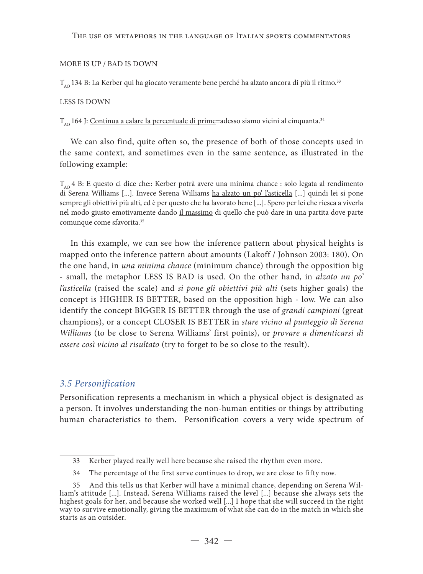#### The use of metaphors in the language of Italian sports commentators

#### MORE IS UP / BAD IS DOWN

T<sub>ao</sub> 134 B: La Kerber qui ha giocato veramente bene perché <u>ha alzato ancora di più il ritmo</u>.<sup>33</sup>

#### LESS IS DOWN

 $T_{A<sub>0</sub>}$  164 J: Continua a calare la percentuale di prime=adesso siamo vicini al cinquanta.<sup>34</sup>

We can also find, quite often so, the presence of both of those concepts used in the same context, and sometimes even in the same sentence, as illustrated in the following example:

 $T_{A\Omega}$  4 B: E questo ci dice che:: Kerber potrà avere <u>una minima chance</u> : solo legata al rendimento di Serena Williams [...]. Invece Serena Williams ha alzato un po' l'asticella [...] quindi lei si pone sempre gli obiettivi più alti, ed è per questo che ha lavorato bene [...]. Spero per lei che riesca a viverla nel modo giusto emotivamente dando il massimo di quello che può dare in una partita dove parte comunque come sfavorita.<sup>35</sup>

In this example, we can see how the inference pattern about physical heights is mapped onto the inference pattern about amounts (Lakoff / Johnson 2003: 180). On the one hand, in *una minima chance* (minimum chance) through the opposition big - small, the metaphor LESS IS BAD is used. On the other hand, in *alzato un po' l'asticella* (raised the scale) and *si pone gli obiettivi più alti* (sets higher goals) the concept is HIGHER IS BETTER, based on the opposition high - low. We can also identify the concept BIGGER IS BETTER through the use of *grandi campioni* (great champions), or a concept CLOSER IS BETTER in *stare vicino al punteggio di Serena Williams* (to be close to Serena Williams' first points), or *provare a dimenticarsi di essere così vicino al risultato* (try to forget to be so close to the result).

### *3.5 Personification*

Personification represents a mechanism in which a physical object is designated as a person. It involves understanding the non-human entities or things by attributing human characteristics to them. Personification covers a very wide spectrum of

<sup>33</sup> Kerber played really well here because she raised the rhythm even more.

<sup>34</sup> The percentage of the first serve continues to drop, we are close to fifty now.

<sup>35</sup> And this tells us that Kerber will have a minimal chance, depending on Serena William's attitude [...]. Instead, Serena Williams raised the level [...] because she always sets the highest goals for her, and because she worked well [...] I hope that she will succeed in the right way to survive emotionally, giving the maximum of what she can do in the match in which she starts as an outsider.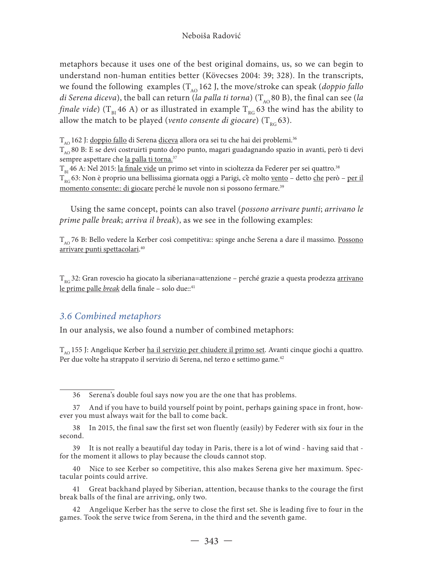### Neboiša Radović

metaphors because it uses one of the best original domains, us, so we can begin to understand non-human entities better (Kövecses 2004: 39; 328). In the transcripts, we found the following examples  $(T_A \cap 162)$ , the move/stroke can speak (*doppio fallo di Serena diceva*), the ball can return (*la palla ti torna*) (T<sub>AO</sub> 80 B), the final can see (*la finale vide*) ( $T_{B1}$  46 A) or as illustrated in example  $T_{B1}$  63 the wind has the ability to allow the match to be played (*vento consente di giocare*)  $(T_{p0} 63)$ .

 $T_{A_O}$  162 J: doppio fallo di Serena diceva allora ora sei tu che hai dei problemi.<sup>36</sup>

 $T_{A\Omega}$  80 B: E se devi costruirti punto dopo punto, magari guadagnando spazio in avanti, però ti devi sempre aspettare che la palla ti torna.<sup>37</sup>

T<sub>BI</sub> 46 A: Nel 2015: <u>la finale vide</u> un primo set vinto in scioltezza da Federer per sei quattro.<sup>38</sup>

 $T_{pc}$  63: Non è proprio una bellissima giornata oggi a Parigi, c'è molto <u>vento</u> – detto che però – per il momento consente: di giocare perché le nuvole non si possono fermare.<sup>39</sup>

Using the same concept, points can also travel (*possono arrivare punti*; *arrivano le prime palle break*; *arriva il break*), as we see in the following examples:

T<sub>10</sub>76 B: Bello vedere la Kerber così competitiva:: spinge anche Serena a dare il massimo. Possono arrivare punti spettacolari. 40

 $T_{\text{RG}}$ 32: Gran rovescio ha giocato la siberiana=attenzione – perché grazie a questa prodezza arrivano le prime palle *break* della finale - solo due::<sup>41</sup>

## *3.6 Combined metaphors*

In our analysis, we also found a number of combined metaphors:

 $T_{A<sub>0</sub>}$  155 J: Angelique Kerber ha il servizio per chiudere il primo set. Avanti cinque giochi a quattro. Per due volte ha strappato il servizio di Serena, nel terzo e settimo game.<sup>42</sup>

40 Nice to see Kerber so competitive, this also makes Serena give her maximum. Spectacular points could arrive.

41 Great backhand played by Siberian, attention, because thanks to the courage the first break balls of the final are arriving, only two.

42 Angelique Kerber has the serve to close the first set. She is leading five to four in the games. Took the serve twice from Serena, in the third and the seventh game.

<sup>36</sup> Serena's double foul says now you are the one that has problems.

<sup>37</sup> And if you have to build yourself point by point, perhaps gaining space in front, however you must always wait for the ball to come back.

<sup>38</sup> In 2015, the final saw the first set won fluently (easily) by Federer with six four in the second.

<sup>39</sup> It is not really a beautiful day today in Paris, there is a lot of wind - having said that for the moment it allows to play because the clouds cannot stop.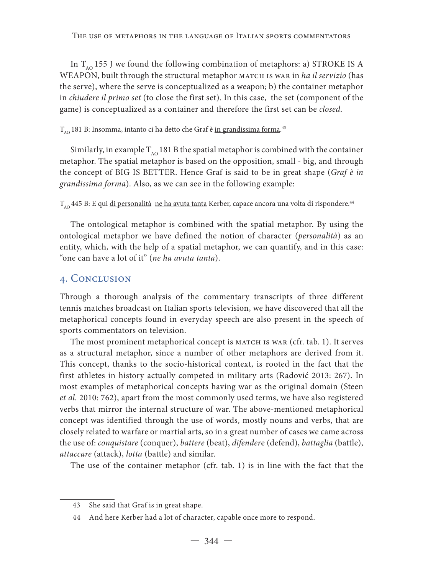In  $T_{AO}$  155 J we found the following combination of metaphors: a) STROKE IS A WEAPON, built through the structural metaphor MATCH IS WAR in *ha il servizio* (has the serve), where the serve is conceptualized as a weapon; b) the container metaphor in *chiudere il primo set* (to close the first set). In this case, the set (component of the game) is conceptualized as a container and therefore the first set can be *closed*.

# $T_{_{\rm AO}}$ 181 B: Insomma, intanto ci ha detto che Graf è <u>in grandissima forma</u>.<sup>43</sup>

Similarly, in example  $T_{AO}$  181 B the spatial metaphor is combined with the container metaphor. The spatial metaphor is based on the opposition, small - big, and through the concept of BIG IS BETTER. Hence Graf is said to be in great shape (*Graf è in grandissima forma*). Also, as we can see in the following example:

T<sub>AO</sub> 445 B: E qui di personalità ne ha avuta tanta Kerber, capace ancora una volta di rispondere.<sup>44</sup>

The ontological metaphor is combined with the spatial metaphor. By using the ontological metaphor we have defined the notion of character (*personalità*) as an entity, which, with the help of a spatial metaphor, we can quantify, and in this case: "one can have a lot of it" (*ne ha avuta tanta*).

# 4. Conclusion

Through a thorough analysis of the commentary transcripts of three different tennis matches broadcast on Italian sports television, we have discovered that all the metaphorical concepts found in everyday speech are also present in the speech of sports commentators on television.

The most prominent metaphorical concept is MATCH IS WAR (cfr. tab. 1). It serves as a structural metaphor, since a number of other metaphors are derived from it. This concept, thanks to the socio-historical context, is rooted in the fact that the first athletes in history actually competed in military arts (Radović 2013: 267). In most examples of metaphorical concepts having war as the original domain (Steen *et al.* 2010: 762), apart from the most commonly used terms, we have also registered verbs that mirror the internal structure of war. The above-mentioned metaphorical concept was identified through the use of words, mostly nouns and verbs, that are closely related to warfare or martial arts, so in a great number of cases we came across the use of: *conquistare* (conquer), *battere* (beat), *difender*e (defend), *battaglia* (battle), *attaccare* (attack), *lotta* (battle) and similar.

The use of the container metaphor (cfr. tab. 1) is in line with the fact that the

<sup>43</sup> She said that Graf is in great shape.

<sup>44</sup> And here Kerber had a lot of character, capable once more to respond.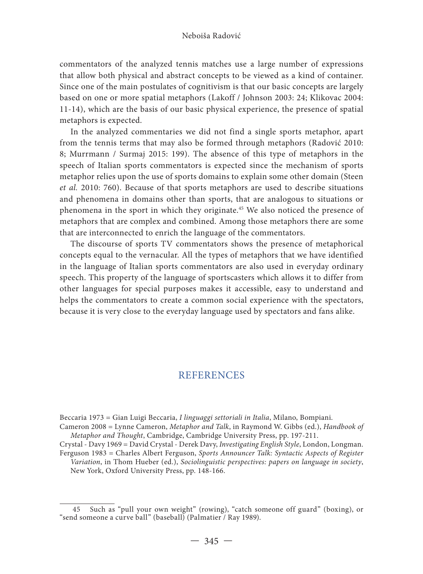#### Neboiša Radović

commentators of the analyzed tennis matches use a large number of expressions that allow both physical and abstract concepts to be viewed as a kind of container. Since one of the main postulates of cognitivism is that our basic concepts are largely based on one or more spatial metaphors (Lakoff / Johnson 2003: 24; Klikovac 2004: 11-14), which are the basis of our basic physical experience, the presence of spatial metaphors is expected.

In the analyzed commentaries we did not find a single sports metaphor, apart from the tennis terms that may also be formed through metaphors (Radović 2010: 8; Murrmann / Surmaj 2015: 199). The absence of this type of metaphors in the speech of Italian sports commentators is expected since the mechanism of sports metaphor relies upon the use of sports domains to explain some other domain (Steen *et al.* 2010: 760). Because of that sports metaphors are used to describe situations and phenomena in domains other than sports, that are analogous to situations or phenomena in the sport in which they originate.45 We also noticed the presence of metaphors that are complex and combined. Among those metaphors there are some that are interconnected to enrich the language of the commentators.

The discourse of sports TV commentators shows the presence of metaphorical concepts equal to the vernacular. All the types of metaphors that we have identified in the language of Italian sports commentators are also used in everyday ordinary speech. This property of the language of sportscasters which allows it to differ from other languages for special purposes makes it accessible, easy to understand and helps the commentators to create a common social experience with the spectators, because it is very close to the everyday language used by spectators and fans alike.

## **REFERENCES**

Beccaria 1973 = Gian Luigi Beccaria, *I linguaggi settoriali in Italia*, Milano, Bompiani.

Cameron 2008 = Lynne Cameron, *Metaphor and Talk*, in Raymond W. Gibbs (ed.), *Handbook of Metaphor and Thought*, Cambridge, Cambridge University Press, pp. 197-211.

Crystal - Davy 1969 = David Crystal - Derek Davy, *Investigating English Style*, London, Longman. Ferguson 1983 = Charles Albert Ferguson, *Sports Announcer Talk: Syntactic Aspects of Register Variation*, in Thom Hueber (ed.), *Sociolinguistic perspectives: papers on language in society*,

New York, Oxford University Press, pp. 148-166.

<sup>45</sup> Such as "pull your own weight" (rowing), "catch someone off guard" (boxing), or "send someone a curve ball" (baseball) (Palmatier / Ray 1989).